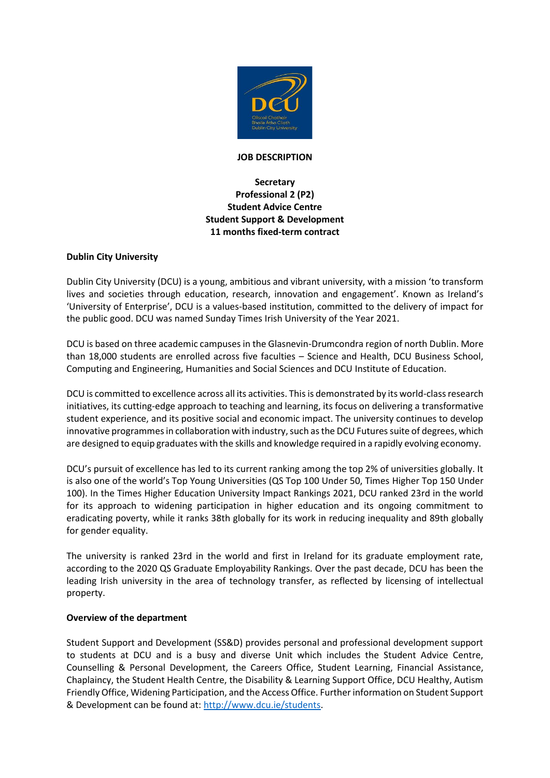

#### **JOB DESCRIPTION**

# **Secretary Professional 2 (P2) Student Advice Centre Student Support & Development 11 months fixed-term contract**

### **Dublin City University**

Dublin City University (DCU) is a young, ambitious and vibrant university, with a mission 'to transform lives and societies through education, research, innovation and engagement'. Known as Ireland's 'University of Enterprise', DCU is a values-based institution, committed to the delivery of impact for the public good. DCU was named Sunday Times Irish University of the Year 2021.

DCU is based on three academic campuses in the Glasnevin-Drumcondra region of north Dublin. More than 18,000 students are enrolled across five faculties – Science and Health, DCU Business School, Computing and Engineering, Humanities and Social Sciences and DCU Institute of Education.

DCU is committed to excellence across all its activities. This is demonstrated by its world-class research initiatives, its cutting-edge approach to teaching and learning, its focus on delivering a transformative student experience, and its positive social and economic impact. The university continues to develop innovative programmes in collaboration with industry, such as the DCU Futures suite of degrees, which are designed to equip graduates with the skills and knowledge required in a rapidly evolving economy.

DCU's pursuit of excellence has led to its current ranking among the top 2% of universities globally. It is also one of the world's Top Young Universities (QS Top 100 Under 50, Times Higher Top 150 Under 100). In the Times Higher Education University Impact Rankings 2021, DCU ranked 23rd in the world for its approach to widening participation in higher education and its ongoing commitment to eradicating poverty, while it ranks 38th globally for its work in reducing inequality and 89th globally for gender equality.

The university is ranked 23rd in the world and first in Ireland for its graduate employment rate, according to the 2020 QS Graduate Employability Rankings. Over the past decade, DCU has been the leading Irish university in the area of technology transfer, as reflected by licensing of intellectual property.

### **Overview of the department**

Student Support and Development (SS&D) provides personal and professional development support to students at DCU and is a busy and diverse Unit which includes the Student Advice Centre, Counselling & Personal Development, the Careers Office, Student Learning, Financial Assistance, Chaplaincy, the Student Health Centre, the Disability & Learning Support Office, DCU Healthy, Autism Friendly Office, Widening Participation, and the Access Office. Further information on Student Support & Development can be found at: [http://www.dcu.ie/students.](http://www.dcu.ie/students)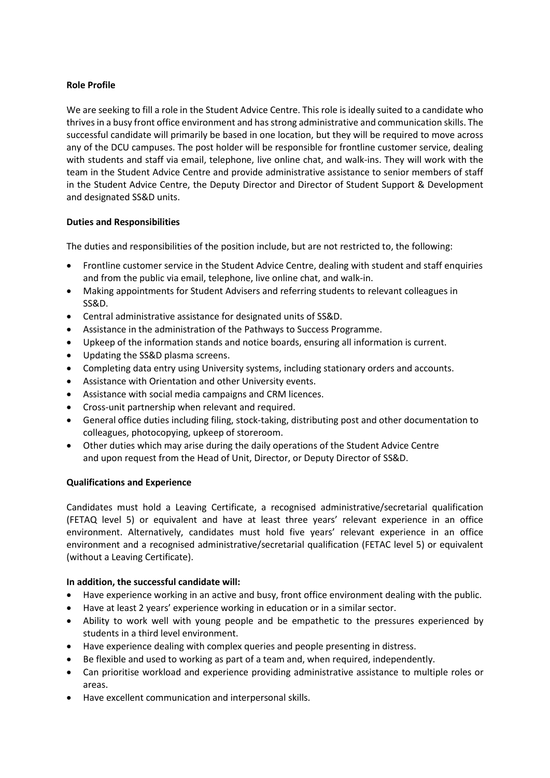## **Role Profile**

We are seeking to fill a role in the Student Advice Centre. This role is ideally suited to a candidate who thrives in a busy front office environment and has strong administrative and communication skills. The successful candidate will primarily be based in one location, but they will be required to move across any of the DCU campuses. The post holder will be responsible for frontline customer service, dealing with students and staff via email, telephone, live online chat, and walk-ins. They will work with the team in the Student Advice Centre and provide administrative assistance to senior members of staff in the Student Advice Centre, the Deputy Director and Director of Student Support & Development and designated SS&D units.

## **Duties and Responsibilities**

The duties and responsibilities of the position include, but are not restricted to, the following:

- Frontline customer service in the Student Advice Centre, dealing with student and staff enquiries and from the public via email, telephone, live online chat, and walk-in.
- Making appointments for Student Advisers and referring students to relevant colleagues in SS&D.
- Central administrative assistance for designated units of SS&D.
- Assistance in the administration of the Pathways to Success Programme.
- Upkeep of the information stands and notice boards, ensuring all information is current.
- Updating the SS&D plasma screens.
- Completing data entry using University systems, including stationary orders and accounts.
- Assistance with Orientation and other University events.
- Assistance with social media campaigns and CRM licences.
- Cross-unit partnership when relevant and required.
- General office duties including filing, stock-taking, distributing post and other documentation to colleagues, photocopying, upkeep of storeroom.
- Other duties which may arise during the daily operations of the Student Advice Centre and upon request from the Head of Unit, Director, or Deputy Director of SS&D.

### **Qualifications and Experience**

Candidates must hold a Leaving Certificate, a recognised administrative/secretarial qualification (FETAQ level 5) or equivalent and have at least three years' relevant experience in an office environment. Alternatively, candidates must hold five years' relevant experience in an office environment and a recognised administrative/secretarial qualification (FETAC level 5) or equivalent (without a Leaving Certificate).

### **In addition, the successful candidate will:**

- Have experience working in an active and busy, front office environment dealing with the public.
- Have at least 2 years' experience working in education or in a similar sector.
- Ability to work well with young people and be empathetic to the pressures experienced by students in a third level environment.
- Have experience dealing with complex queries and people presenting in distress.
- Be flexible and used to working as part of a team and, when required, independently.
- Can prioritise workload and experience providing administrative assistance to multiple roles or areas.
- Have excellent communication and interpersonal skills.